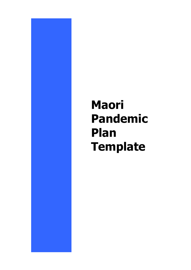# **Maori Pandemic Plan Template**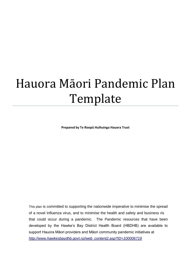# Hauora Māori Pandemic Plan Template

**Prepared by Te Roopū Huihuinga Hauora Trust**

This plan is committed to supporting the nationwide imperative to minimise the spread of a novel Influenza virus, and to minimise the health and safety and business ris that could occur during a pandemic. The Pandemic resources that have been developed by the Hawke's Bay District Health Board (HBDHB) are available to support Hauora Māori providers and Māori community pandemic initiatives at *[http://www.hawkesbaydhb.govt.nz/web\\_content2.asp?ID=100006719](http://www.hawkesbaydhb.govt.nz/web_content2.asp?ID=100006719)*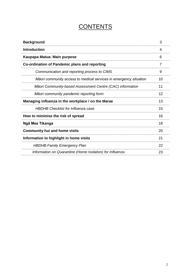# **CONTENTS**

| <b>Background</b>                                                 | 3  |
|-------------------------------------------------------------------|----|
| <b>Introduction</b>                                               | 4  |
| Kaupapa Matua: Main purpose                                       | 6  |
| Co-ordination of Pandemic plans and reporting                     | 7  |
| Communication and reporting process to CIMS                       | 9  |
| Māori community access to medical services in emergency situation | 10 |
| Māori Community-based Assessment Centre (CAC) information         | 11 |
| Māori community pandemic reporting form                           | 12 |
| Managing influenza in the workplace / on the Marae                | 13 |
| <b>HBDHB Checklist for Influenza case</b>                         | 15 |
| How to minimise the risk of spread                                | 16 |
| Ngā Mea Tikanga                                                   | 18 |
| <b>Community hui and home visits</b>                              | 20 |
| Information to highlight in home visits                           |    |
| <b>HBDHB Family Emergency Plan</b>                                | 22 |
| Information on Quarantine (Home Isolation) for Influenza          | 23 |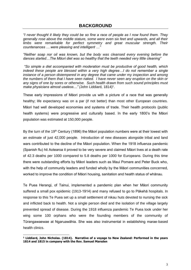# **BACKGROUND**

*"I never thought it likely they could be so fine a race of people as I now found them. They generally rose above the middle stature, some were even six feet and upwards, and all their limbs were remarkable for perfect symmetry and great muscular strength. Their countenances … were pleasing and intelligent …"* 

*"Neither soap nor oil was known, but the body was cleansed every evening before the dances started…The Māori diet was so healthy that the teeth needed very little cleaning"*

*"So simple a diet accompanied with moderation must be productive of good health, which indeed these people are blessed within a very high degree…I do not remember a single instance of a person distempered in any degree that came under my inspection and among the numbers of them that I have seen naked. I have never seen any eruption on the skin or any signs of one by sores or otherwise. Such health drawn from such sound principles must*  make physicians almost useless..." (John Liddiard, 1814)<sup>1</sup>.

These early impressions of Māori provide us with a picture of a race that was generally healthy; life expectancy was on a par (if not better) than most other European countries. Māori had well developed economies and systems of trade. Their health protocols (public health systems) were progressive and culturally based. In the early 1800's the Māori population was estimated at 150,000 people.

By the turn of the 19<sup>th</sup> Century (1896) the Māori population numbers were at their lowest with an estimate of just 42,000 people. Introduction of new diseases alongside tribal and land wars contributed to the decline of the Māori population. When the 1918 influenza pandemic (Spanish flu) hit Aotearoa it proved to be very severe and claimed Māori lives at a death rate of 42.3 deaths per 1000 compared to 5.8 deaths per 1000 for Europeans. During this time there were outstanding efforts by Māori leaders such as Maui Pomare and Peter Buck who, with the help of community leaders and funded wholly by the Māori communities concerned, worked to improve the condition of Māori housing, sanitation and health status of whānau.

Te Puea Herangi, of Tainui, implemented a pandemic plan when her Māori community suffered a small pox epidemic (1913-1914) and many refused to go to Pākehā hospitals. In response to this Te Puea set up a small settlement of nikau huts devoted to nursing the sick and inflicted back to health. Not a single person died and the isolation of the village largely prevented spread of disease. During the 1918 influenza pandemic Te Puea took under her wing some 100 orphans who were the founding members of the community of Tūrangawaewae at Ngaruawāhia. She was also instrumental in establishing marae-based health clinics.

-

**<sup>1</sup> Liddiard, John Nicholas. (1814). Narrative of a voyage to New Zealand: Performed in the years 1814 and 1815 in company with the Rev. Samuel Marsden**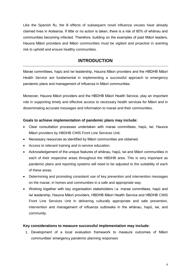Like the Spanish flu, the ill effects of subsequent novel influenza viruses have already claimed lives in Aotearoa. If little or no action is taken, there is a risk of 80% of whānau and communities becoming infected. Therefore, building on the examples of past Māori leaders, Hauora Māori providers and Māori communities must be vigilant and proactive in averting risk to uphold and ensure healthy communities.

# **INTRODUCTION**

Marae committees, hapū and iwi leadership, Hauora Māori providers and the HBDHB Māori Health Service are fundamental in implementing a successful approach to emergency pandemic plans and management of influenza in Māori communities.

Moreover, Hauora Māori providers and the HBDHB Māori Health Service, play an important role in supporting timely and effective access to necessary health services for Māori and in disseminating accurate messages and information to marae and their communities.

# **Goals to achieve implementation of pandemic plans may include:**

- Clear consultation processes undertaken with marae committees, hapū, iwi, Hauora Māori providers by HBDHB CIMS Front Line Services Unit.
- Necessary resources as identified by Māori communities are obtained.
- Access to relevant training and in-service education.
- Acknowledgement of the unique features of whānau, hapū, iwi and Māori communities in each of their respective areas throughout the HBDHB area. This is very important as pandemic plans and reporting systems will need to be adjusted to the suitability of each of these areas.
- Determining and promoting consistent use of key prevention and intervention messages on the marae, in homes and communities in a safe and appropriate way.
- Working together with key organisation stakeholders i.e. marae committees, hapū and iwi leadership, Hauora Māori providers, HBDHB Māori Health Service and HBDHB CIMS Front Line Services Unit in delivering culturally appropriate and safe prevention, intervention and management of influenza outbreaks in the whānau, hapū, iwi, and community.

## **Key considerations to measure successful implementation may include:**

1. Development of a local evaluation framework to measure outcomes of Māori communities' emergency pandemic planning responses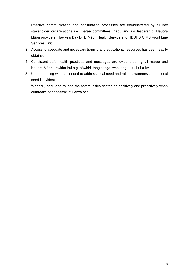- 2. Effective communication and consultation processes are demonstrated by all key stakeholder organisations i.e. marae committees, hapū and iwi leadership, Hauora Māori providers, Hawke's Bay DHB Māori Health Service and HBDHB CIMS Front Line Services Unit
- 3. Access to adequate and necessary training and educational resources has been readily obtained
- 4. Consistent safe health practices and messages are evident during all marae and Hauora Māori provider hui e.g. pōwhiri, tangihanga, whakangahau, hui-a-iwi
- 5. Understanding what is needed to address local need and raised awareness about local need is evident
- 6. Whānau, hapū and iwi and the communities contribute positively and proactively when outbreaks of pandemic influenza occur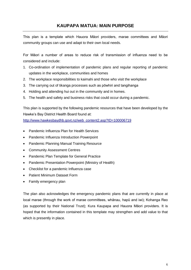This plan is a template which Hauora Māori providers, marae committees and Māori community groups can use and adapt to their own local needs.

For Māori a number of areas to reduce risk of transmission of influenza need to be considered and include:

- 1. Co-ordination of implementation of pandemic plans and regular reporting of pandemic updates in the workplace, communities and homes
- 2. The workplace responsibilities to kaimahi and those who visit the workplace
- 3. The carrying out of tikanga processes such as pōwhiri and tangihanga
- 4. Holding and attending hui out in the community and in homes.
- 5. The health and safety and business risks that could occur during a pandemic.

This plan is supported by the following pandemic resources that have been developed by the Hawke's Bay District Health Board found at:

[http://www.hawkesbaydhb.govt.nz/web\\_content2.asp?ID=100006719](http://www.hawkesbaydhb.govt.nz/web_content2.asp?ID=100006719)

- Pandemic Influenza Plan for Health Services
- Pandemic Influenza Introduction Powerpoint
- Pandemic Planning Manual Training Resource
- Community Assessment Centres
- Pandemic Plan Template for General Practice
- Pandemic Presentation Powerpoint (Ministry of Health)
- Checklist for a pandemic Influenza case
- Patient Minimum Dataset Form
- Family emergency plan

The plan also acknowledges the emergency pandemic plans that are currently in place at local marae (through the work of marae committees, whānau, hapū and iwi); Kohanga Reo (as supported by their National Trust); Kura Kaupapa and Hauora Māori providers. It is hoped that the information contained in this template may strengthen and add value to that which is presently in place.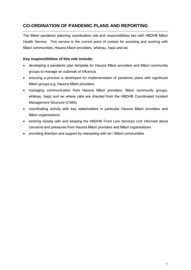# **CO-ORDINATION OF PANDEMIC PLANS AND REPORTING**

The Māori pandemic planning coordination role and responsibilities lies with HBDHB Māori Health Service. This service is the current point of contact for assisting and working with Māori communities, Hauora Maori providers, whānau, hapū and iwi.

# **Key responsibilities of this role include:**

- developing a pandemic plan template for Hauora Māori providers and Māori community groups to manage an outbreak of influenza
- ensuring a process is developed for implementation of pandemic plans with significant Māori groups e.g. Hauora Māori providers
- managing communication from Hauora Māori providers, Māori community groups, whānau, hapū and iwi where calls are directed from the HBDHB Coordinated Incident Management Structure (CIMS)
- coordinating activity with key stakeholders in particular Hauora Māori providers and Māori organisations.
- working closely with and keeping the HBDHB Front Line Services Unit informed about concerns and pressures from Hauora Māori providers and Māori organisations
- providing direction and support by interacting with iwi / Māori communities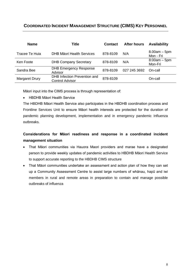# **COORDINATED INCIDENT MANAGEMENT STRUCTURE (CIMS) KEY PERSONNEL**

| <b>Name</b>    | Title                                                  | <b>Contact</b> | <b>After hours</b> | <b>Availability</b>         |
|----------------|--------------------------------------------------------|----------------|--------------------|-----------------------------|
| Tracee Te Huia | DHB Māori Health Services                              | 878-8109       | N/A                | $8.00am - 5pm$<br>Mon - Fri |
| Ken Foote      | <b>DHB Company Secretary</b>                           | 878-8109       | N/A                | $8:00am - 5pm$<br>Mon-Fri   |
| Sandra Bee     | <b>DHB Emergency Response</b><br>Advisor               | 878-8109       | 027 245 3692       | On-call                     |
| Margaret Drury | DHB Infection Prevention and<br><b>Control Advisor</b> | 878-8109       |                    | On-call                     |

Māori input into the CIMS process is through representation of:

HBDHB Māori Health Service

The HBDHB Māori Health Service also participates in the HBDHB coordination process and Frontline Services Unit to ensure Māori health interests are protected for the duration of pandemic planning development, implementation and in emergency pandemic Influenza outbreaks.

# **Considerations for Māori readiness and response in a coordinated incident management situation**

- That Māori communities via Hauora Maori providers and marae have a designated person to provide weekly updates of pandemic activities to HBDHB Māori Health Service to support accurate reporting to the HBDHB CIMS structure
- That Māori communities undertake an assessment and action plan of how they can set up a Community Assessment Centre to assist large numbers of whānau, hapū and iwi members in rural and remote areas in preparation to contain and manage possible outbreaks of influenza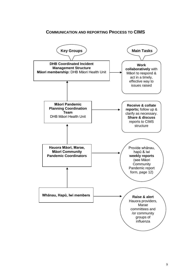# **COMMUNICATION AND REPORTING PROCESS TO CIMS**

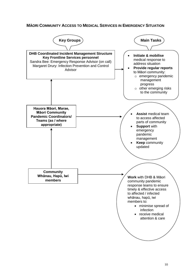# **MĀORI COMMUNITY ACCESS TO MEDICAL SERVICES IN EMERGENCY SITUATION**

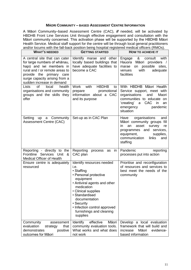#### **MĀORI COMMUNITY – BASED ASSESSMENT CENTRE INFORMATION**

A Māori Community–based Assessment Centre (CAC), *if* needed, will be activated by HBDHB Front Line Services Unit through effective engagement and consultation with the Māori community concerned. This activation phase will be supported by the HBDHB Māori Health Service. Medical staff support for the centre will be through local general practitioners and/or locums with the fall-back position being hospital registered medical officers (RMOs).

| <b>WHAT'S NEEDED</b>                                                                                                                                                                                                 | <b>GETTING STARTED</b>                                                                                                                                                                                                                                                              | HOW TO ACHIEVE IT                                                                                                                                                                                  |
|----------------------------------------------------------------------------------------------------------------------------------------------------------------------------------------------------------------------|-------------------------------------------------------------------------------------------------------------------------------------------------------------------------------------------------------------------------------------------------------------------------------------|----------------------------------------------------------------------------------------------------------------------------------------------------------------------------------------------------|
| A central site that can cater<br>for large numbers of whanau,<br>hapū and iwi members in<br>rural and / or remote areas to<br>provide the primary care<br>surge capacity arising from a<br>sudden increase in demand | Identify marae and other<br>locally based buildings that<br>have adequate facilities to<br>become a CAC                                                                                                                                                                             | &<br>with<br>Engage<br>consult<br>Hauora<br>Māori providers /<br>on possible<br>sites,<br>marae<br>with<br>adequate<br>venues<br>facilities                                                        |
| <b>of</b><br><b>Lists</b><br>local<br>health<br>organisations and community<br>groups and the skills they<br>offer                                                                                                   | with<br><b>HBDHB</b><br>Work<br>to<br>promotional<br>prepare<br>information about a CAC<br>and its purpose                                                                                                                                                                          | With HBDHB Māori Health<br>Service support, meet with<br>organisations<br>and<br>Maori<br>communities to educate on<br>'creating'<br>CAC<br>in<br>a<br>an<br>pandemic<br>emergency<br>situation    |
| up a Community<br>Setting<br><b>Assessment Centre (CAC)</b>                                                                                                                                                          | Set-up as in CAC Plan                                                                                                                                                                                                                                                               | Have organisations<br>and<br>Māori community groups fill<br>asset<br>survey<br>in.<br>an<br>re<br>programmes and services,<br>equipment,<br>supplies,<br>communication<br>links<br>and<br>staffing |
| Reporting - directly to the<br>Frontline Services Unit &<br><b>Medical Officer of Health</b>                                                                                                                         | Reporting<br>in<br>process<br>as<br>CAC plan                                                                                                                                                                                                                                        | Pandemic<br>reporting<br>processes put into action                                                                                                                                                 |
| Ensure centre is adequately<br>resourced                                                                                                                                                                             | Identify resources needed<br>i.e.<br>· Staffing<br>• Personal protective<br>equipment<br>• Antiviral agents and other<br>medication<br>• Clinical supplies<br>· Standardised<br>documentation<br>• Security<br>• Infection control approved<br>furnishings and cleaning<br>supplies | Prioritise and reconfiguration<br>of resources and services to<br>best meet the needs of the<br>community                                                                                          |
| Community<br>assessment<br>evaluation<br>that<br>strategy<br>demonstrates<br>positive<br>outcomes for Māori                                                                                                          | Identify<br>effective<br>Māori<br>community evaluation tools.<br>What works and what does<br>not work                                                                                                                                                                               | Develop a local evaluation<br>framework that will build and<br>Māori<br>evidence-<br>increase<br>based information                                                                                 |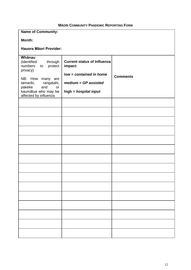# **MĀORI COMMUNITY PANDEMIC REPORTING FORM**

| <b>Name of Community:</b>                      |                                    |                 |
|------------------------------------------------|------------------------------------|-----------------|
| Month:                                         |                                    |                 |
| Hauora Māori Provider:                         |                                    |                 |
| Whānau<br>(identified<br>through               | <b>Current status of Influenza</b> |                 |
| numbers<br>protect<br>to<br>privacy)           | impact:                            |                 |
| NB: How<br>many are                            | low = contained in home            | <b>Comments</b> |
| tamariki,<br>rangatahi,<br>pakeke<br>and<br>or | medium = $GP$ assisted             |                 |
| kaumātua who may be<br>affected by influenza   | high = hospital input              |                 |
|                                                |                                    |                 |
|                                                |                                    |                 |
|                                                |                                    |                 |
|                                                |                                    |                 |
|                                                |                                    |                 |
|                                                |                                    |                 |
|                                                |                                    |                 |
|                                                |                                    |                 |
|                                                |                                    |                 |
|                                                |                                    |                 |
|                                                |                                    |                 |
|                                                |                                    |                 |
|                                                |                                    |                 |
|                                                |                                    |                 |
|                                                |                                    |                 |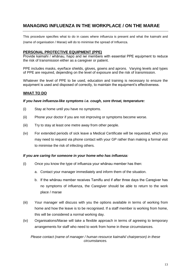# **MANAGING INFLUENZA IN THE WORKPLACE / ON THE MARAE**

This procedure specifies what to do in cases where influenza is present and what the kaimahi and (name of organisation / Marae) will do to minimise the spread of Influenza.

## **PERSONAL PROTECTIVE EQUIPMENT (PPE)**

Provide kaimahi / whānau, hapū and iwi members with essential PPE equipment to reduce the risk of transmission either as a caregiver or patient.

PPE includes masks, eye/face shields, gloves, gowns and aprons. Varying levels and types of PPE are required, depending on the level of exposure and the risk of transmission.

Whatever the level of PPE to be used, education and training is necessary to ensure the equipment is used and disposed of correctly, to maintain the equipment's effectiveness.

## **WHAT TO DO**

#### *If you have influenza-like symptoms i.e. cough, sore throat, temperature:*

- (i) Stay at home until you have no symptoms.
- (ii) Phone your doctor if you are not improving or symptoms become worse.
- (iii) Try to stay at least one metre away from other people.
- (iv) For extended periods of sick leave a Medical Certificate will be requested, which you may need to request via phone contact with your GP rather than making a formal visit to minimise the risk of infecting others.

#### *If you are caring for someone in your home who has influenza:*

- (i) Once you know the type of influenza your whānau member has then:
	- a. Contact your manager immediately and inform them of the situation.
	- b. If the whānau member receives Tamiflu and if after three days the Caregiver has no symptoms of influenza, the Caregiver should be able to return to the work place / marae
- (iii) Your manager will discuss with you the options available in terms of working from home and how the leave is to be recognised. If a staff member is working from home, this will be considered a normal working day.
- (iv) Organisations/Marae will take a flexible approach in terms of agreeing to temporary arrangements for staff who need to work from home in these circumstances.

*Please contact (name of manager / human resource kaimahi/ chairperson) in these circumstances.*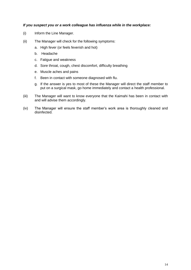#### *If you suspect you or a work colleague has influenza while in the workplace:*

- (i) Inform the Line Manager.
- (ii) The Manager will check for the following symptoms:
	- a. High fever (or feels feverish and hot)
	- b. Headache
	- c. Fatigue and weakness
	- d. Sore throat, cough, chest discomfort, difficulty breathing
	- e. Muscle aches and pains
	- f. Been in contact with someone diagnosed with flu.
	- g. If the answer is yes to most of these the Manager will direct the staff member to put on a surgical mask, go home immediately and contact a health professional.
- (iii) The Manager will want to know everyone that the Kaimahi has been in contact with and will advise them accordingly.
- (iv) The Manager will ensure the staff member's work area is thoroughly cleaned and disinfected.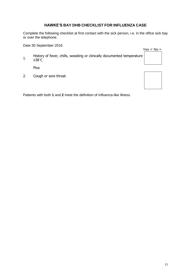# **HAWKE'S BAY DHB CHECKLIST FOR INFLUENZA CASE**

Complete the following checklist at first contact with the sick person, i.e. in the office sick bay or over the telephone.

Date 30 September 2016

Yes  $\checkmark$  No  $\times$ 

1. History of fever, chills, sweating or clinically documented temperature ≥38˚C

Plus

2. Cough or sore throat

Patients with both **1** and **2** meet the definition of Influenza-like illness.

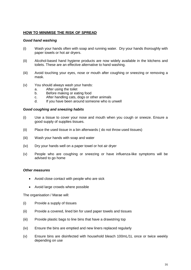## **HOW TO MINIMISE THE RISK OF SPREAD**

#### *Good hand washing*

- (i) Wash your hands often with soap and running water. Dry your hands thoroughly with paper towels or hot air dryers.
- (ii) Alcohol-based hand hygiene products are now widely available in the kitchens and toilets. These are an effective alternative to hand washing.
- (iii) Avoid touching your eyes, nose or mouth after coughing or sneezing or removing a mask.
- (v) You should always wash your hands:
	- a. After using the toilet
	- b. Before making or eating food
	- c. After handling cats, dogs or other animals<br>d If you have been around someone who is
	- If you have been around someone who is unwell

#### *Good coughing and sneezing habits*

- (i) Use a tissue to cover your nose and mouth when you cough or sneeze. Ensure a good supply of supplies tissues.
- (ii) Place the used tissue in a bin afterwards ( do not throw used tissues)
- (iii) Wash your hands with soap and water
- (iv) Dry your hands well on a paper towel or hot air dryer
- (v) People who are coughing or sneezing or have influenza-like symptoms will be advised to go home

#### *Other measures*

- Avoid close contact with people who are sick
- Avoid large crowds where possible

The organisation / Marae will:

- (i) Provide a supply of tissues
- (ii) Provide a covered, lined bin for used paper towels and tissues
- (iii) Provide plastic bags to line bins that have a drawstring top
- (iv) Ensure the bins are emptied and new liners replaced regularly
- (v) Ensure bins are disinfected with household bleach 100mL/1L once or twice weekly depending on use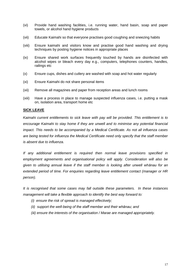- (vi) Provide hand washing facilities, i.e. running water, hand basin, soap and paper towels, or alcohol hand hygiene products
- (vii) Educate Kaimahi so that everyone practises good coughing and sneezing habits
- (viii) Ensure kaimahi and visitors know and practise good hand washing and drying techniques by posting hygiene notices in appropriate places
- (ix) Ensure shared work surfaces frequently touched by hands are disinfected with alcohol wipes or bleach every day e.g., computers, telephones counters, handles, railings etc
- (x) Ensure cups, dishes and cutlery are washed with soap and hot water regularly
- (xi) Ensure Kaimahi do not share personal items
- (xii) Remove all magazines and paper from reception areas and lunch rooms
- (xiii) Have a process in place to manage suspected influenza cases, i.e. putting a mask on, isolation area, transport home etc

#### **SICK LEAVE**

*Kaimahi current entitlements to sick leave with pay will be provided. This entitlement is to encourage Kaimahi to stay home if they are unwell and to minimise any potential financial impact. This needs to be accompanied by a Medical Certificate. As not all influenza cases are being tested for influenza the Medical Certificate need only specify that the staff member is absent due to influenza.*

*If any additional entitlement is required then normal leave provisions specified in employment agreements and organisational policy will apply. Consideration will also be given to utilising annual leave if the staff member is looking after unwell whānau for an extended period of time. For enquiries regarding leave entitlement contact (manager or HR person).*

*It is recognised that some cases may fall outside these parameters. In these instances management will take a flexible approach to identify the best way forward to:*

- *(i) ensure the risk of spread is managed effectively;*
- *(ii) support the well-being of the staff member and their whānau; and*
- *(iii) ensure the interests of the organisation / Marae are managed appropriately.*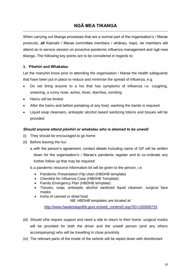# **NGĀ MEA TIKANGA**

When carrying out tikanga processes that are a normal part of the organisation's / Marae protocols, **all** Kaimahi / Marae committee members / whānau, hapū, iwi members will attend an in-service session on proactive pandemic influenza management and ngā mea tikanga. The following key points are to be considered in regards to:

# **1. Pōwhiri and Whakatau**

Let the manuhiri know prior to attending the organisation / Marae the health safeguards that have been put in place to reduce and minimise the spread of influenza, e.g.

- Do not bring anyone to a hui that has symptoms of influenza i.e. coughing, sneezing, a runny nose, aches, fever, diarrhea, vomiting
- Hariru will be limited
- After the hariru and before partaking of any food, washing the hands is required
- Liquid soap cleansers, antiseptic alcohol based sanitizing lotions and tissues will be provided

## *Should anyone attend pōwhiri or whakatau who is deemed to be unwell:*

- (i) They should be encouraged to go home
- (ii) Before leaving the hui:
	- a.with the person's agreement, contact details including name of GP will be written down for the organisation's / Marae's pandemic register and to co-ordinate any

further follow up that may be required

- b.a pandemic resource information kit will be given to the person, i.e.
	- Pandemic Presentation Flip chart (HBDHB template)
	- Checklist for Influenza Case (HBDHB Template)
	- Family Emergency Plan (HBDHB template)
	- Tissues, soap, antiseptic alcohol sanitized liquid cleanser, surgical face masks
	- Koha of canned or dried food

*NB: HBDHB templates are located at:* 

*[http://www.hawkesbaydhb.govt.nz/web\\_content2.asp?ID=100006719](http://www.hawkesbaydhb.govt.nz/web_content2.asp?ID=100006719)*

- (iii) Should s/he require support and need a ride to return to their home, surgical masks will be provided for both the driver and the unwell person (and any others accompanying) who will be travelling in close proximity
- (iv) The relevant parts of the inside of the vehicle will be wiped down with disinfectant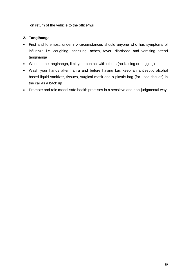on return of the vehicle to the office/hui

# **2. Tangihanga**

- First and foremost, under **no** circumstances should anyone who has symptoms of influenza i.e. coughing, sneezing, aches, fever, diarrhoea and vomiting attend tangihanga
- When at the tangihanga, limit your contact with others (no kissing or hugging)
- Wash your hands after hariru and before having kai, keep an antiseptic alcohol based liquid sanitizer, tissues, surgical mask and a plastic bag (for used tissues) in the car as a back up
- Promote and role model safe health practises in a sensitive and non-judgmental way.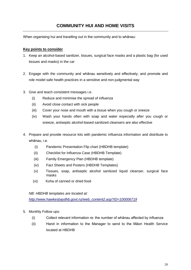# **COMMUNITY HUI AND HOME VISITS**

When organising hui and travelling out in the community and to whānau:

## **Key points to consider**

- 1. Keep an alcohol-based sanitizer, tissues, surgical face masks and a plastic bag (for used tissues and masks) in the car
- 2. Engage with the community and whānau sensitively and effectively; and promote and role model safe health practices in a sensitive and non-judgmental way
- 3. Give and teach consistent messages i.e.
	- (i) Reduce and minimise the spread of influenza
	- (ii) Avoid close contact with sick people
	- (iii) Cover your nose and mouth with a tissue when you cough or sneeze
	- (iv) Wash your hands often with soap and water especially after you cough or sneeze, antiseptic alcohol-based sanitized cleansers are also effective
- 4. Prepare and provide resource kits with pandemic influenza information and distribute to whānau, i.e.
	- (i) Pandemic Presentation Flip chart (HBDHB template)
	- (ii) Checklist for Influenza Case (HBDHB Template)
	- (iii) Family Emergency Plan (HBDHB template)
	- (iv) Fact Sheets and Posters (HBDHB Templates)
	- (v) Tissues, soap, antiseptic alcohol sanitized liquid cleanser, surgical face masks
	- (vi) Koha of canned or dried food

*NB: HBDHB templates are located at:* 

*[http://www.hawkesbaydhb.govt.nz/web\\_content2.asp?ID=100006719](http://www.hawkesbaydhb.govt.nz/web_content2.asp?ID=100006719)*

- 5. Monthly Follow ups:
	- (i) Collect relevant information re: the number of whānau affected by influenza
	- (ii) Hand in information to the Manager to send to the Māori Health Service located at HBDHB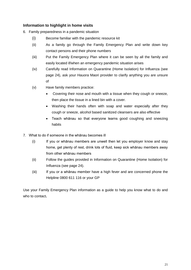# **Information to highlight in home visits**

6. Family preparedness in a pandemic situation

- (i) Become familiar with the pandemic resource kit
- (ii) As a family go through the Family Emergency Plan and write down key contact persons and their phone numbers
- (iii) Put the Family Emergency Plan where it can be seen by all the family and easily located if/when an emergency pandemic situation arises
- (iv) Carefully read Information on Quarantine (Home Isolation) for Influenza (see page 24), ask your Hauora Maori provider to clarify anything you are unsure of
- (v) Have family members practice:
	- Covering their nose and mouth with a tissue when they cough or sneeze, then place the tissue in a lined bin with a cover.
	- Washing their hands often with soap and water especially after they cough or sneeze, alcohol based sanitized cleansers are also effective
	- Teach whānau so that everyone learns good coughing and sneezing habits
- 7. What to do if someone in the whānau becomes ill
	- (i) If you or whānau members are unwell then let you employer know and stay home, get plenty of rest, drink lots of fluid, keep sick whānau members away from other whānau members
	- (ii) Follow the guides provided in Information on Quarantine (Home Isolation) for Influenza (see page 24).
	- (iii) If you or a whānau member have a high fever and are concerned phone the Helpline 0800 611 116 or your GP

Use your Family Emergency Plan information as a guide to help you know what to do and who to contact**.**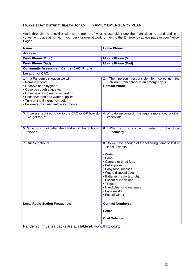## **HAWKE'S BAY DISTRICT HEALTH BOARD FAMILY EMERGENCY PLAN**

Work through the checklist with all members of your household. Keep the Plan close to hand and in a convenient place at home, in your desk drawer at work, or next to the Emergency advice page in your Yellow Pages.

| <b>Home Phone:</b><br><b>Mobile Phone (Mum):</b><br><b>Mobile Phone (Dad):</b>                                                                                                                                                                                                                                                      |
|-------------------------------------------------------------------------------------------------------------------------------------------------------------------------------------------------------------------------------------------------------------------------------------------------------------------------------------|
|                                                                                                                                                                                                                                                                                                                                     |
|                                                                                                                                                                                                                                                                                                                                     |
|                                                                                                                                                                                                                                                                                                                                     |
|                                                                                                                                                                                                                                                                                                                                     |
|                                                                                                                                                                                                                                                                                                                                     |
| The person responsible for collecting<br>2.<br>the<br>children from school in an emergency is:<br><b>Contact Phone:</b>                                                                                                                                                                                                             |
| 4. Who do we contact if we require more food or other<br>essentials?                                                                                                                                                                                                                                                                |
| What is the<br>6.<br>contact number of the local<br>Pharmacy?                                                                                                                                                                                                                                                                       |
| 8. Do we have enough of the following items to last at<br>least 3 weeks?<br>• Water<br>• Soap<br>• Canned or dried food<br>• Pet supplies<br>• Baby food/supplies<br>• Waste disposal bags<br>• Batteries (radio & torch)<br>• Essential medicines<br>• Tissues<br>• Hand cleansing materials<br>• Face masks<br>• Fuel (if winter) |
| <b>Contact Numbers:</b><br>Police.<br><b>Civil Defence:</b><br>Pandemic Influenza packs are available at: www.thnz.co.nz                                                                                                                                                                                                            |
|                                                                                                                                                                                                                                                                                                                                     |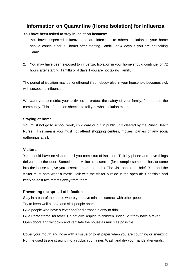# **Information on Quarantine (Home Isolation) for Influenza**

# **You have been asked to stay in isolation because:**

- 1. You have suspected influenza and are infectious to others. Isolation in your home should continue for 72 hours after starting Tamiflu or 4 days if you are not taking Tamiflu.
- 2. You may have been exposed to influenza. Isolation in your home should continue for 72 hours after starting Tamiflu or 4 days if you are not taking Tamiflu.

The period of isolation may be lengthened if somebody else in your household becomes sick with suspected influenza.

We want you to restrict your activities to protect the safety of your family, friends and the community. This information sheet is to tell you what isolation means.

# **Staying at home.**

You must not go to school, work, child care or out in public until cleared by the Public Health Nurse. This means you must not attend shopping centres, movies, parties or any social gatherings at all.

## **Visitors**

You should have no visitors until you come out of isolation. Talk by phone and have things delivered to the door. Sometimes a visitor is essential (for example someone has to come into the house to give you essential home support). The visit should be brief. You and the visitor must both wear a mask. Talk with the visitor outside in the open air if possible and keep at least two metres away from them.

## **Preventing the spread of infection**

Stay in a part of the house where you have minimal contact with other people.

Try to keep well people and sick people apart.

Give people who have a fever and/or diarrhoea plenty to drink.

Give Paracetamol for fever. Do not give Aspirin to children under 12 if they have a fever.

Open doors and windows and ventilate the house as much as possible.

Cover your mouth and nose with a tissue or toilet paper when you are coughing or sneezing. Put the used tissue straight into a rubbish container. Wash and dry your hands afterwards.